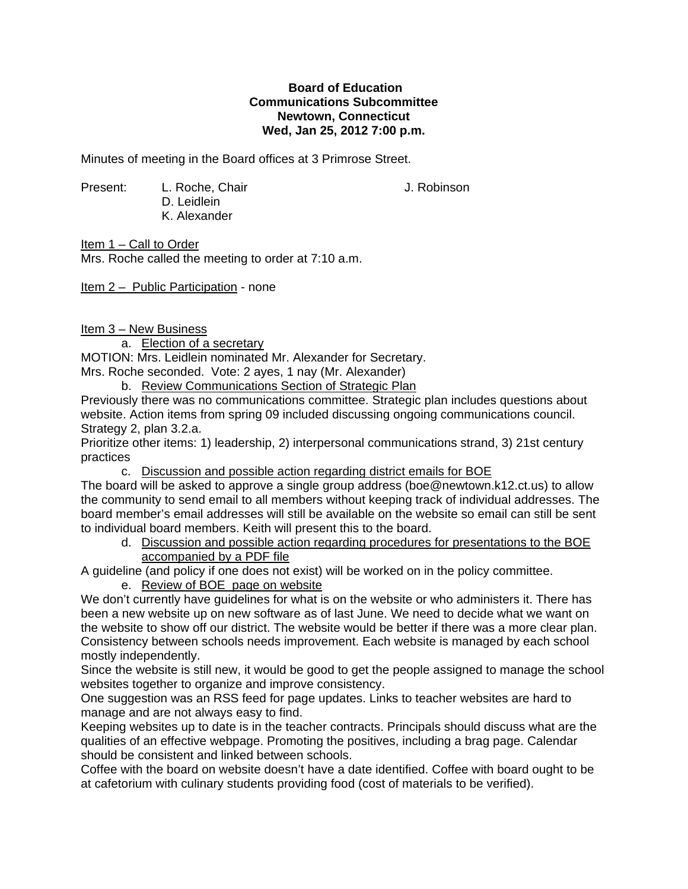## **Board of Education Communications Subcommittee Newtown, Connecticut Wed, Jan 25, 2012 7:00 p.m.**

Minutes of meeting in the Board offices at 3 Primrose Street.

Present: L. Roche, Chair J. Robinson D. Leidlein K. Alexander

Item 1 – Call to Order Mrs. Roche called the meeting to order at 7:10 a.m.

Item 2 – Public Participation - none

Item 3 – New Business

a. Election of a secretary

MOTION: Mrs. Leidlein nominated Mr. Alexander for Secretary.

Mrs. Roche seconded. Vote: 2 ayes, 1 nay (Mr. Alexander)

b. Review Communications Section of Strategic Plan

Previously there was no communications committee. Strategic plan includes questions about website. Action items from spring 09 included discussing ongoing communications council. Strategy 2, plan 3.2.a.

Prioritize other items: 1) leadership, 2) interpersonal communications strand, 3) 21st century practices

c. Discussion and possible action regarding district emails for BOE

The board will be asked to approve a single group address (boe@newtown.k12.ct.us) to allow the community to send email to all members without keeping track of individual addresses. The board member's email addresses will still be available on the website so email can still be sent to individual board members. Keith will present this to the board.

d. Discussion and possible action regarding procedures for presentations to the BOE accompanied by a PDF file

A guideline (and policy if one does not exist) will be worked on in the policy committee.

e. Review of BOE page on website

We don't currently have guidelines for what is on the website or who administers it. There has been a new website up on new software as of last June. We need to decide what we want on the website to show off our district. The website would be better if there was a more clear plan. Consistency between schools needs improvement. Each website is managed by each school mostly independently.

Since the website is still new, it would be good to get the people assigned to manage the school websites together to organize and improve consistency.

One suggestion was an RSS feed for page updates. Links to teacher websites are hard to manage and are not always easy to find.

Keeping websites up to date is in the teacher contracts. Principals should discuss what are the qualities of an effective webpage. Promoting the positives, including a brag page. Calendar should be consistent and linked between schools.

Coffee with the board on website doesn't have a date identified. Coffee with board ought to be at cafetorium with culinary students providing food (cost of materials to be verified).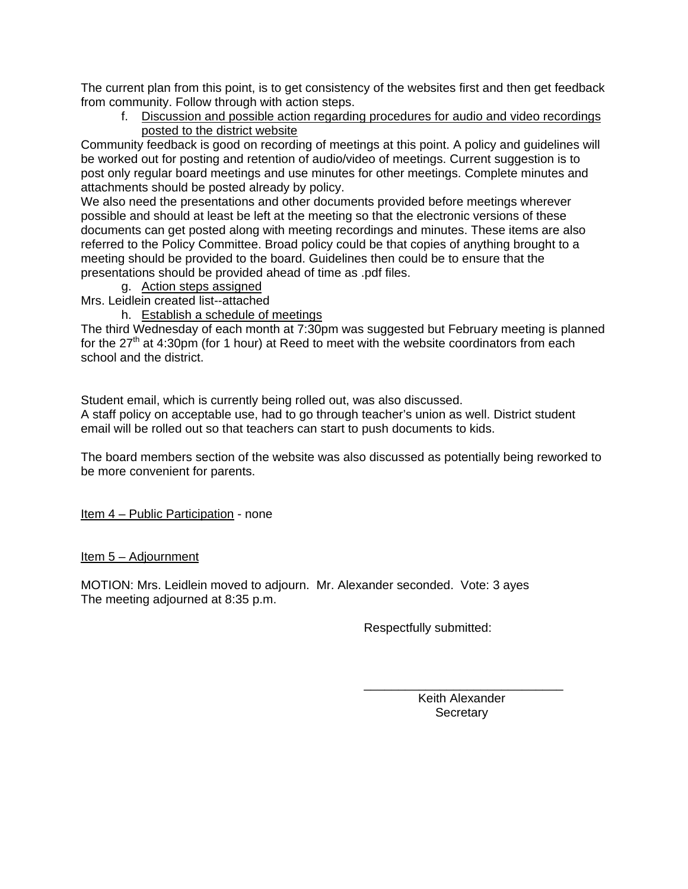The current plan from this point, is to get consistency of the websites first and then get feedback from community. Follow through with action steps.

f. Discussion and possible action regarding procedures for audio and video recordings posted to the district website

Community feedback is good on recording of meetings at this point. A policy and guidelines will be worked out for posting and retention of audio/video of meetings. Current suggestion is to post only regular board meetings and use minutes for other meetings. Complete minutes and attachments should be posted already by policy.

We also need the presentations and other documents provided before meetings wherever possible and should at least be left at the meeting so that the electronic versions of these documents can get posted along with meeting recordings and minutes. These items are also referred to the Policy Committee. Broad policy could be that copies of anything brought to a meeting should be provided to the board. Guidelines then could be to ensure that the presentations should be provided ahead of time as .pdf files.

g. Action steps assigned

Mrs. Leidlein created list--attached

h. Establish a schedule of meetings

The third Wednesday of each month at 7:30pm was suggested but February meeting is planned for the  $27<sup>th</sup>$  at 4:30pm (for 1 hour) at Reed to meet with the website coordinators from each school and the district.

Student email, which is currently being rolled out, was also discussed. A staff policy on acceptable use, had to go through teacher's union as well. District student email will be rolled out so that teachers can start to push documents to kids.

The board members section of the website was also discussed as potentially being reworked to be more convenient for parents.

Item 4 – Public Participation - none

Item 5 – Adjournment

MOTION: Mrs. Leidlein moved to adjourn. Mr. Alexander seconded. Vote: 3 ayes The meeting adjourned at 8:35 p.m.

 $\overline{\phantom{a}}$  , and the contract of the contract of the contract of the contract of the contract of the contract of the contract of the contract of the contract of the contract of the contract of the contract of the contrac

Respectfully submitted:

 Keith Alexander **Secretary**